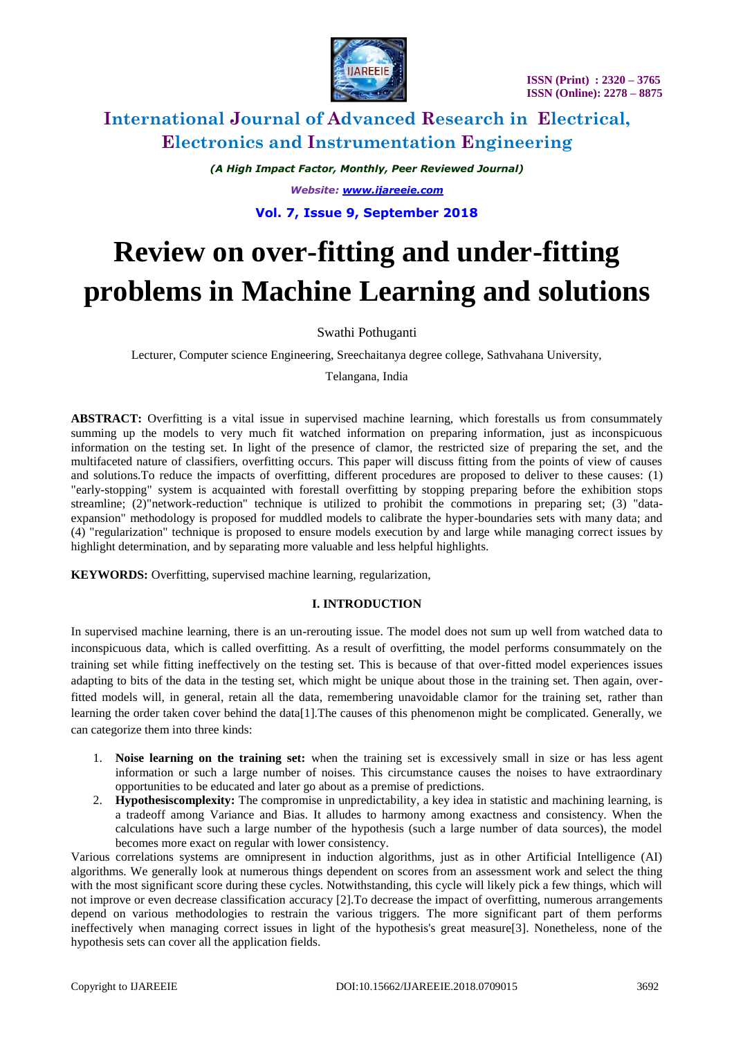

*(A High Impact Factor, Monthly, Peer Reviewed Journal) Website: [www.ijareeie.com](http://www.ijareeie.com/)* **Vol. 7, Issue 9, September 2018**

# **Review on over-fitting and under-fitting problems in Machine Learning and solutions**

# Swathi Pothuganti

Lecturer, Computer science Engineering, Sreechaitanya degree college, Sathvahana University,

Telangana, India

**ABSTRACT:** Overfitting is a vital issue in supervised machine learning, which forestalls us from consummately summing up the models to very much fit watched information on preparing information, just as inconspicuous information on the testing set. In light of the presence of clamor, the restricted size of preparing the set, and the multifaceted nature of classifiers, overfitting occurs. This paper will discuss fitting from the points of view of causes and solutions.To reduce the impacts of overfitting, different procedures are proposed to deliver to these causes: (1) "early-stopping" system is acquainted with forestall overfitting by stopping preparing before the exhibition stops streamline; (2)"network-reduction" technique is utilized to prohibit the commotions in preparing set; (3) "dataexpansion" methodology is proposed for muddled models to calibrate the hyper-boundaries sets with many data; and (4) "regularization" technique is proposed to ensure models execution by and large while managing correct issues by highlight determination, and by separating more valuable and less helpful highlights.

**KEYWORDS:** Overfitting, supervised machine learning, regularization,

### **I. INTRODUCTION**

In supervised machine learning, there is an un-rerouting issue. The model does not sum up well from watched data to inconspicuous data, which is called overfitting. As a result of overfitting, the model performs consummately on the training set while fitting ineffectively on the testing set. This is because of that over-fitted model experiences issues adapting to bits of the data in the testing set, which might be unique about those in the training set. Then again, overfitted models will, in general, retain all the data, remembering unavoidable clamor for the training set, rather than learning the order taken cover behind the data[1].The causes of this phenomenon might be complicated. Generally, we can categorize them into three kinds:

- 1. **Noise learning on the training set:** when the training set is excessively small in size or has less agent information or such a large number of noises. This circumstance causes the noises to have extraordinary opportunities to be educated and later go about as a premise of predictions.
- 2. **Hypothesiscomplexity:** The compromise in unpredictability, a key idea in statistic and machining learning, is a tradeoff among Variance and Bias. It alludes to harmony among exactness and consistency. When the calculations have such a large number of the hypothesis (such a large number of data sources), the model becomes more exact on regular with lower consistency.

Various correlations systems are omnipresent in induction algorithms, just as in other Artificial Intelligence (AI) algorithms. We generally look at numerous things dependent on scores from an assessment work and select the thing with the most significant score during these cycles. Notwithstanding, this cycle will likely pick a few things, which will not improve or even decrease classification accuracy [2].To decrease the impact of overfitting, numerous arrangements depend on various methodologies to restrain the various triggers. The more significant part of them performs ineffectively when managing correct issues in light of the hypothesis's great measure[3]. Nonetheless, none of the hypothesis sets can cover all the application fields.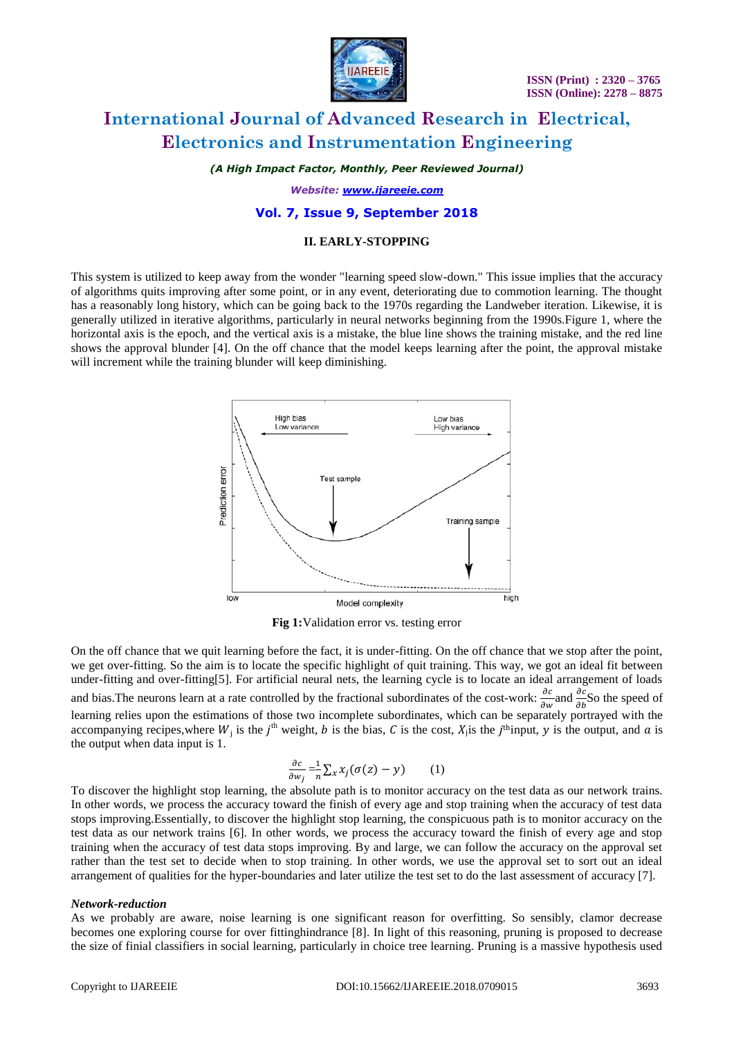

*(A High Impact Factor, Monthly, Peer Reviewed Journal)*

*Website: [www.ijareeie.com](http://www.ijareeie.com/)*

#### **Vol. 7, Issue 9, September 2018**

#### **II. EARLY-STOPPING**

This system is utilized to keep away from the wonder "learning speed slow-down." This issue implies that the accuracy of algorithms quits improving after some point, or in any event, deteriorating due to commotion learning. The thought has a reasonably long history, which can be going back to the 1970s regarding the Landweber iteration. Likewise, it is generally utilized in iterative algorithms, particularly in neural networks beginning from the 1990s.Figure 1, where the horizontal axis is the epoch, and the vertical axis is a mistake, the blue line shows the training mistake, and the red line shows the approval blunder [4]. On the off chance that the model keeps learning after the point, the approval mistake will increment while the training blunder will keep diminishing.



**Fig 1:**Validation error vs. testing error

On the off chance that we quit learning before the fact, it is under-fitting. On the off chance that we stop after the point, we get over-fitting. So the aim is to locate the specific highlight of quit training. This way, we got an ideal fit between under-fitting and over-fitting[5]. For artificial neural nets, the learning cycle is to locate an ideal arrangement of loads and bias. The neurons learn at a rate controlled by the fractional subordinates of the cost-work:  $\frac{\partial c}{\partial w}$  and  $\frac{\partial c}{\partial b}$  So the speed of learning relies upon the estimations of those two incomplete subordinates, which can be separately portrayed with the accompanying recipes, where  $W_i$  is the  $j^{\text{th}}$  weight, b is the bias, C is the cost,  $X_j$  is the j<sup>th</sup>input, y is the output, and a is the output when data input is 1.

$$
\frac{\partial c}{\partial w_j} = \frac{1}{n} \sum_x x_j (\sigma(z) - y) \qquad (1)
$$

To discover the highlight stop learning, the absolute path is to monitor accuracy on the test data as our network trains. In other words, we process the accuracy toward the finish of every age and stop training when the accuracy of test data stops improving.Essentially, to discover the highlight stop learning, the conspicuous path is to monitor accuracy on the test data as our network trains [6]. In other words, we process the accuracy toward the finish of every age and stop training when the accuracy of test data stops improving. By and large, we can follow the accuracy on the approval set rather than the test set to decide when to stop training. In other words, we use the approval set to sort out an ideal arrangement of qualities for the hyper-boundaries and later utilize the test set to do the last assessment of accuracy [7].

#### *Network-reduction*

As we probably are aware, noise learning is one significant reason for overfitting. So sensibly, clamor decrease becomes one exploring course for over fittinghindrance [8]. In light of this reasoning, pruning is proposed to decrease the size of finial classifiers in social learning, particularly in choice tree learning. Pruning is a massive hypothesis used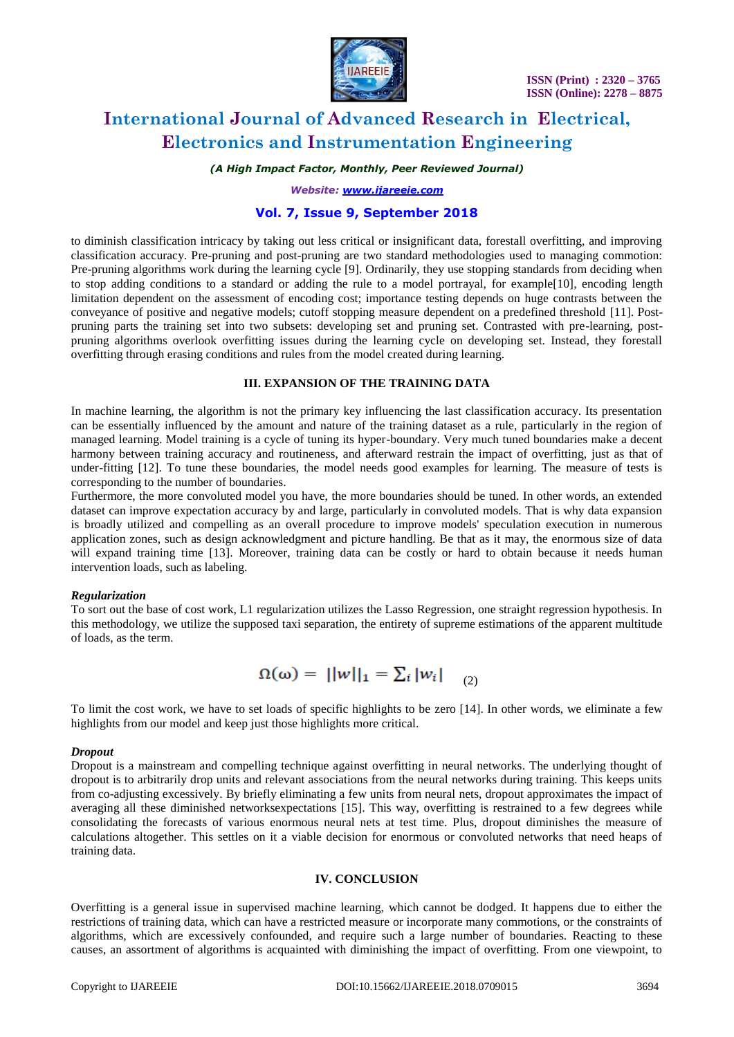

### *(A High Impact Factor, Monthly, Peer Reviewed Journal)*

*Website: [www.ijareeie.com](http://www.ijareeie.com/)*

## **Vol. 7, Issue 9, September 2018**

to diminish classification intricacy by taking out less critical or insignificant data, forestall overfitting, and improving classification accuracy. Pre-pruning and post-pruning are two standard methodologies used to managing commotion: Pre-pruning algorithms work during the learning cycle [9]. Ordinarily, they use stopping standards from deciding when to stop adding conditions to a standard or adding the rule to a model portrayal, for example[10], encoding length limitation dependent on the assessment of encoding cost; importance testing depends on huge contrasts between the conveyance of positive and negative models; cutoff stopping measure dependent on a predefined threshold [11]. Postpruning parts the training set into two subsets: developing set and pruning set. Contrasted with pre-learning, postpruning algorithms overlook overfitting issues during the learning cycle on developing set. Instead, they forestall overfitting through erasing conditions and rules from the model created during learning.

#### **III. EXPANSION OF THE TRAINING DATA**

In machine learning, the algorithm is not the primary key influencing the last classification accuracy. Its presentation can be essentially influenced by the amount and nature of the training dataset as a rule, particularly in the region of managed learning. Model training is a cycle of tuning its hyper-boundary. Very much tuned boundaries make a decent harmony between training accuracy and routineness, and afterward restrain the impact of overfitting, just as that of under-fitting [12]. To tune these boundaries, the model needs good examples for learning. The measure of tests is corresponding to the number of boundaries.

Furthermore, the more convoluted model you have, the more boundaries should be tuned. In other words, an extended dataset can improve expectation accuracy by and large, particularly in convoluted models. That is why data expansion is broadly utilized and compelling as an overall procedure to improve models' speculation execution in numerous application zones, such as design acknowledgment and picture handling. Be that as it may, the enormous size of data will expand training time [13]. Moreover, training data can be costly or hard to obtain because it needs human intervention loads, such as labeling.

#### *Regularization*

To sort out the base of cost work, L1 regularization utilizes the Lasso Regression, one straight regression hypothesis. In this methodology, we utilize the supposed taxi separation, the entirety of supreme estimations of the apparent multitude of loads, as the term.

$$
\Omega(\omega) = ||w||_1 = \sum_i |w_i| \quad (2)
$$

To limit the cost work, we have to set loads of specific highlights to be zero [14]. In other words, we eliminate a few highlights from our model and keep just those highlights more critical.

#### *Dropout*

Dropout is a mainstream and compelling technique against overfitting in neural networks. The underlying thought of dropout is to arbitrarily drop units and relevant associations from the neural networks during training. This keeps units from co-adjusting excessively. By briefly eliminating a few units from neural nets, dropout approximates the impact of averaging all these diminished networksexpectations [15]. This way, overfitting is restrained to a few degrees while consolidating the forecasts of various enormous neural nets at test time. Plus, dropout diminishes the measure of calculations altogether. This settles on it a viable decision for enormous or convoluted networks that need heaps of training data.

#### **IV. CONCLUSION**

Overfitting is a general issue in supervised machine learning, which cannot be dodged. It happens due to either the restrictions of training data, which can have a restricted measure or incorporate many commotions, or the constraints of algorithms, which are excessively confounded, and require such a large number of boundaries. Reacting to these causes, an assortment of algorithms is acquainted with diminishing the impact of overfitting. From one viewpoint, to